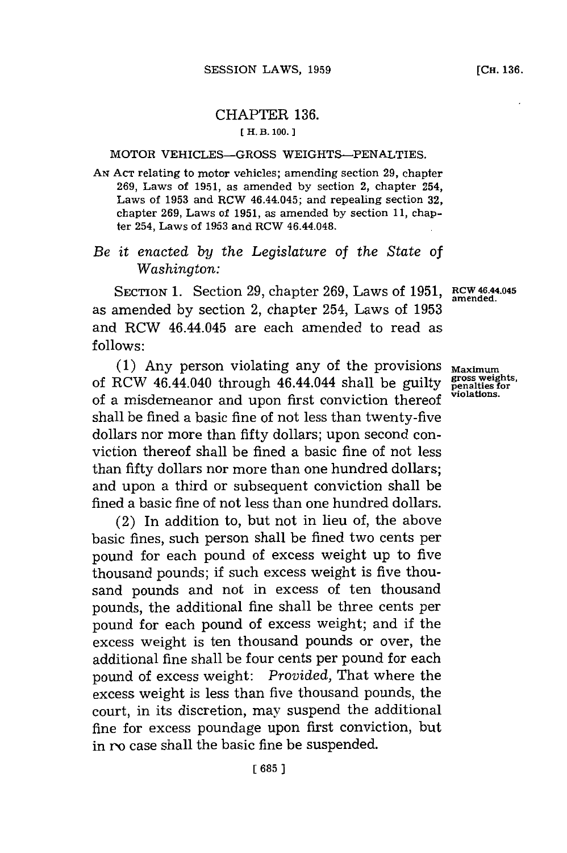## CHAPTER **136. [ H. B. 100.]1**

## MOTOR VEHICLES-GROSS WEIGHTS-PENALTIES.

**AN ACT** relating to motor vehicles; amending section **29,** chapter **269,** Laws of **1951,** as amended **by** section 2, chapter 254, Laws of **1953** and RCW 46.44.045; and repealing section **32,** chapter **269,** Laws of **1951,** as amended **by** section **11,** chapter 254, Laws of **1953** and RCW 46.44.048.

## *Be it enacted by the Legislature of the State of Washington:*

SECTION 1. Section **29,** chapter **269,** Laws of **1951, RCW 46.44.045** as amended **by** section 2, chapter 254, Laws of **1953** and RCW 46.44.045 are each amended to read as **follows:**

**(1)** Any person violating any of the provisions of RCW 46.44.040 through 46.44.044 shall be guilty of a misdemeanor and upon first conviction thereof shall be fined a basic fine of not less than twenty-five dollars nor more than fifty dollars; upon second conviction thereof shall be fined a basic fine of not less than fifty dollars nor more than one hundred dollars; and upon a third or subsequent conviction shall be fined a basic fine of not less than one hundred dollars.

(2) In addition to, but not in lieu of, the above basic fines, such person shall be fined two cents per pound for each pound of excess weight up to five thousand pounds; if such excess weight is five thousand pounds and not in excess of ten thousand pounds, the additional fine shall be three cents per pound for each pound of excess weight; and if the excess weight is ten thousand pounds or over, the additional fine shall be four cents per pound for each pound of excess weight: *Provided,* That where the excess weight is less than five thousand pounds, the court, in its discretion, may suspend the additional fine for excess poundage upon first conviction, but in ro case shall the basic fine be suspended.

**amended.**

**Maximum** gross weights,<br>penalties for<br>violations.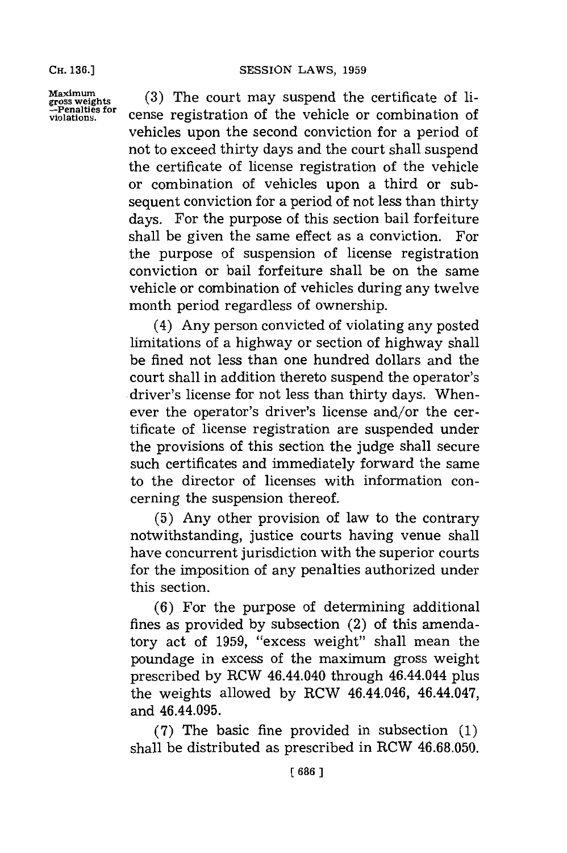**CH. 136.]**

**Maximum gross weights -Penalties for violations.**

**(3)** The court may suspend the certificate of license registration of the vehicle or combination of vehicles upon the second conviction for a period of not to exceed thirty days and the court shall suspend the certificate of license registration of the vehicle or combination of vehicles upon a third or subsequent conviction for a period of not less than thirty days. For the purpose of this section bail forfeiture shall be given the same effect as a conviction. For the purpose of suspension of license registration conviction or bail forfeiture shall be on the same vehicle or combination of vehicles during any twelve month period regardless of ownership.

(4) Any person convicted of violating any posted limitations of a highway or section of highway shall be fined not less than one hundred dollars and the court shall in addition thereto suspend the operator's driver's license for not less than thirty days. Whenever the operator's driver's license and/or the certificate of license registration are suspended under the provisions of this section the judge shall secure such certificates and immediately forward the same to the director of licenses with information concerning the suspension thereof.

**(5)** Any other provision of law to the contrary notwithstanding, justice courts having venue shall have concurrent jurisdiction with the superior courts for the imposition of any penalties authorized under this section.

**(6)** For the purpose of determining additional fines as provided **by** subsection (2) of this amendatory act of **1959,** "excess weight" shall mean the poundage in excess of the maximum gross weight prescribed **by** RCW 46.44.040 through 46.44.044 plus the weights allowed **by** RCW 46.44.046, 46.44.047, and 46.44.095.

**(7)** The basic fine provided in subsection **(1)** shall be distributed as prescribed in RCW **46.68.050.**